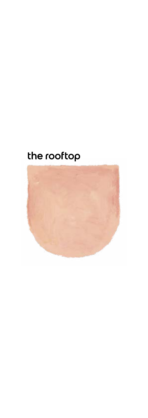# the rooftop

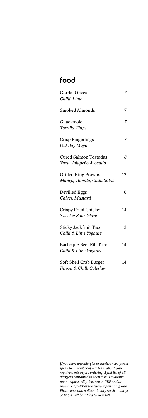## food

| <b>Gordal Olives</b>                                      | 7  |
|-----------------------------------------------------------|----|
| Chilli, Lime                                              |    |
| Smoked Almonds                                            | 7  |
| Guacamole<br>Tortilla Chips                               |    |
| Crisp Fingerlings<br>Old Bay Mayo                         | 7  |
| <b>Cured Salmon Tostadas</b><br>Yuzu, Jalapeño Avocado    | 8  |
| <b>Grilled King Prawns</b><br>Mango, Tomato, Chilli Salsa | 12 |
| Devilled Eggs<br>Chives, Mustard                          | 6  |
| Crispy Fried Chicken<br>Sweet & Sour Glaze                | 14 |
| Sticky Jackfruit Taco<br>Chilli & Lime Yoghurt            | 12 |
| Barbeque Beef Rib Taco<br>Chilli & Lime Yoghurt           | 14 |
| Soft Shell Crab Burger<br>Fennel & Chilli Coleslaw        | 14 |

*If you have any allergies or intolerances, please speak to a member of our team about your requirements before ordering. A full list of all allergens contained in each dish is available upon request. All prices are in GBP and are inclusive of VAT at the current prevailing rate. Please note that a discretionary service charge of 12.5% will be added to your bill.*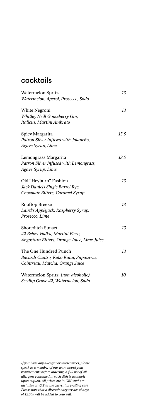### cocktails

| Watermelon Spritz                           | 13   |
|---------------------------------------------|------|
| Watermelon, Aperol, Prosecco, Soda          |      |
| White Negroni                               | 13   |
| Whitley Neill Gooseberry Gin,               |      |
| Italicus, Martini Ambrato                   |      |
| Spicy Margarita                             | 13.5 |
| Patron Silver Infused with Jalapeño,        |      |
| Agave Syrup, Lime                           |      |
| Lemongrass Margarita                        | 13.5 |
| Patron Silver Infused with Lemongrass,      |      |
| Agave Syrup, Lime                           |      |
| Old "Heyburn" Fashion                       | 13   |
| Jack Daniels Single Barrel Rye,             |      |
| Chocolate Bitters, Caramel Syrup            |      |
| Rooftop Breeze                              | 13   |
| Laird's Applejack, Raspberry Syrup,         |      |
| Prosecco, Lime                              |      |
| <b>Shoreditch Sunset</b>                    | 13   |
| 42 Below Vodka, Martini Fiero,              |      |
| Angostura Bitters, Orange Juice, Lime Juice |      |
| The One Hundred Punch                       | 13   |
| Bacardi Cuatro, Koko Kanu, Supasawa,        |      |
| Cointreau, Matcha, Orange Juice             |      |
| Watermelon Spritz (non-alcoholic)           | 10   |
| Seedlip Grove 42, Watermelon, Soda          |      |

*If you have any allergies or intolerances, please speak to a member of our team about your requirements before ordering. A full list of all allergens contained in each dish is available upon request. All prices are in GBP and are inclusive of VAT at the current prevailing rate. Please note that a discretionary service charge of 12.5% will be added to your bill.*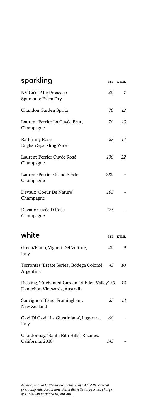| sparkling                                                                        |            | <b>BTL 125ML</b> |
|----------------------------------------------------------------------------------|------------|------------------|
| NV Ca'di Alte Prosecco<br>Spumante Extra Dry                                     | 40         | 7                |
| Chandon Garden Spritz                                                            | 70         | 12               |
| Laurent-Perrier La Cuvée Brut,<br>Champagne                                      | 70         | 13               |
| Rathfinny Rosé<br><b>English Sparkling Wine</b>                                  | 85         | 14               |
| Laurent-Perrier Cuvée Rosé<br>Champagne                                          | 130        | 22               |
| Laurent-Perrier Grand Siècle<br>Champagne                                        | 280        |                  |
| Devaux 'Coeur De Nature'<br>Champagne                                            | 105        |                  |
| Devaux Cuvée D Rose<br>Champagne                                                 | 125        |                  |
| white                                                                            | <b>BTL</b> | 175ML            |
| Greco/Fiano, Vigneti Del Vulture,<br>Italy                                       | 40         | 9                |
| Torrontés 'Estate Series', Bodega Colomé, 45<br>Argentina                        |            | 10               |
| Riesling, 'Enchanted Garden Of Eden Valley' 50<br>Dandelion Vineyards, Australia |            | 12               |
| Sauvignon Blanc, Framingham,<br>New Zealand                                      | 55         | 13               |
| Gavi Di Gavi, 'La Giustiniana', Lugarara,<br>Italy                               | 60         |                  |

Chardonnay, 'Santa Rita Hills', Racines, California, 2018 *145 -*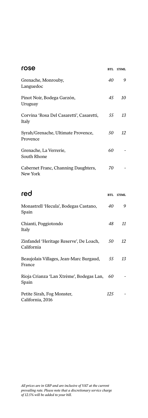| rose                                                  | <b>BTL</b> | 175ML |
|-------------------------------------------------------|------------|-------|
| Grenache, Monrouby,<br>Languedoc                      | 40         | 9     |
| Pinot Noir, Bodega Garzón,<br>Uruguay                 | 45         | 10    |
| Corvina 'Rosa Del Casaretti', Casaretti,<br>Italy     | 55         | 13    |
| Syrah/Grenache, Ultimate Provence,<br>Provence        | 50         | 12    |
| Grenache, La Verrerie,<br>South Rhone                 | 60         |       |
| Cabernet Franc, Channing Daughters,<br>New York       | 70         |       |
| red                                                   | <b>BTL</b> | 175ML |
| Monastrell 'Hecula', Bodegas Castano,<br>Spain        | 40         | 9     |
| Chianti, Poggiotondo<br>Italy                         | 48         | 11    |
| Zinfandel 'Heritage Reserve', De Loach,<br>California | 50         | 12    |
| Beaujolais Villages, Jean-Marc Burgaud,<br>France     | 55         | 13    |
| Rioja Crianza 'Lan Xtrème', Bodegas Lan,<br>Spain     | 60         |       |
| Petite Sirah, Fog Monster,                            | 125        |       |

California, 2016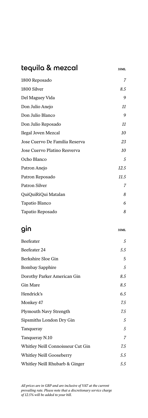# tequila & mezcal **35ML** 1800 Reposado *7* 1800 Silver *8.5* Del Maguey Vida *9* Don Julio Anejo *11* Don Julio Blanco *9* Don Julio Reposado *11* Ilegal Joven Mezcal *10* Jose Cuervo De Familia Reserva *23* Jose Cuervo Platino Resverva *10* Ocho Blanco *5* Patron Anejo *12.5* Patron Reposado *11.5* Patron Silver *7* QuiQuiRiQui Matalan *8* Tapatio Blanco *6* Tapatio Reposado *8*

# **gin**  $35ML$

| Beefeater                         | 5              |
|-----------------------------------|----------------|
| Beefeater 24                      | 5.5            |
| Berkshire Sloe Gin                | 5              |
| <b>Bombay Sapphire</b>            | 5              |
| Dorothy Parker American Gin       | 8.5            |
| Gin Mare                          | 8.5            |
| Hendrick's                        | 6.5            |
| Monkey 47                         | 7.5            |
| <b>Plymouth Navy Strength</b>     | 7.5            |
| Sipsmiths London Dry Gin          | 5              |
| Tanqueray                         | 5              |
| Tanqueray N.10                    | $\overline{7}$ |
| Whitley Neill Connoisseur Cut Gin | 7.5            |
| Whitley Neill Gooseberry          | 5.5            |
| Whitley Neill Rhubarb & Ginger    | 5.5            |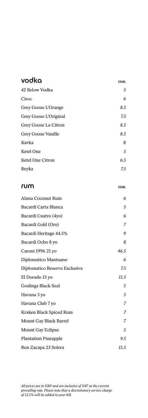| vodka                         | 35ML |
|-------------------------------|------|
| 42 Below Vodka                | 5    |
| Ciroc                         | 6    |
| Grey Goose L'Orange           | 8.5  |
| Grey Goose L'Original         | 7.5  |
| Grey Goose Le Citron          | 8.5  |
| Grey Goose Vanille            | 8.5  |
| Kavka                         | 8    |
| Ketel One                     | 5    |
| Ketel One Citron              | 6.5  |
| Reyka                         | 7.5  |
|                               |      |
| rum                           | 35ML |
| Aluna Coconut Rum             | 6    |
| Bacardi Carta Blanca          | 5    |
| Bacardi Cuatro (4yo)          | 6    |
| Bacardi Gold (Oro)            | 7    |
| Bacardi Heritage 44.5%        | 9    |
| Bacardi Ocho 8 yo             | 8    |
| Caroni 1996 21 yo             | 46.5 |
| Diplomatico Mantuano          | 6    |
| Diplomatico Reserva Exclusiva | 7.5  |
| El Dorado 15 yo               | 11.5 |
| <b>Goslings Black Seal</b>    | 5    |
| Havana 3 yo                   | 5    |
| Havana Club 7 yo              | 7    |
| Kraken Black Spiced Rum       | 7    |
| Mount Gay Black Barrel        | 7    |
| Mount Gay Eclipse             | 5    |
| <b>Plantation Pineapple</b>   | 9.5  |
| Ron Zacapa 23 Solera          | 11.5 |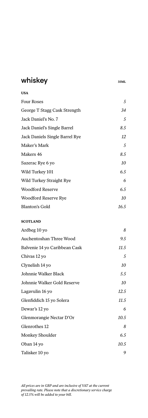| whiskey                        | 35ML |
|--------------------------------|------|
| <b>USA</b>                     |      |
| <b>Four Roses</b>              | 5    |
| George T Stagg Cask Strength   | 34   |
| Jack Daniel's No. 7            | 5    |
| Jack Daniel's Single Barrel    | 8.5  |
| Jack Daniels Single Barrel Rye | 12   |
| Maker's Mark                   | 5    |
| Makers 46                      | 8.5  |
| Sazerac Rye 6 yo               | 10   |
| Wild Turkey 101                | 6.5  |
| Wild Turkey Straight Rye       | 6    |
| <b>Woodford Reserve</b>        | 6.5  |
| Woodford Reserve Rye           | 10   |
| Blanton's Gold                 | 16.5 |
| <b>SCOTLAND</b>                |      |
| Ardbeg 10 yo                   | 8    |
| Auchentoshan Three Wood        | 9.5  |
| Balvenie 14 yo Caribbean Cask  | 11.5 |
| Chivas 12 yo                   | 5    |
| Clynelish 14 yo                | 10   |
| Johnnie Walker Black           | 5.5  |
| Johnnie Walker Gold Reserve    | 10   |
| Lagavulin 16 yo                | 12.5 |
| Glenfiddich 15 yo Solera       | 11.5 |
| Dewar's 12 yo                  | 6    |
| Glenmorangie Nectar D'Or       | 10.5 |
| Glenrothes 12                  | 8    |
| Monkey Shoulder                | 6.5  |
| Oban 14 yo                     | 10.5 |
| Talisker 10 yo                 | 9    |